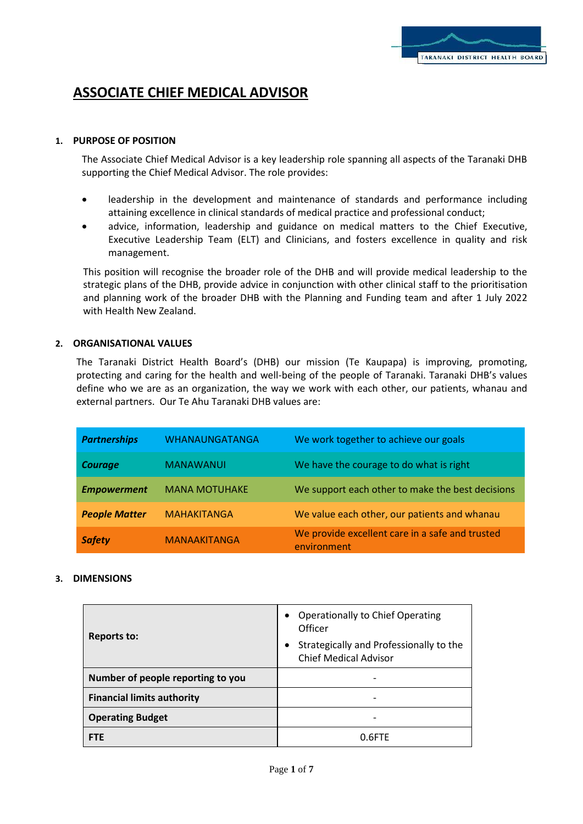# **ASSOCIATE CHIEF MEDICAL ADVISOR**

# **1. PURPOSE OF POSITION**

The Associate Chief Medical Advisor is a key leadership role spanning all aspects of the Taranaki DHB supporting the Chief Medical Advisor. The role provides:

- leadership in the development and maintenance of standards and performance including attaining excellence in clinical standards of medical practice and professional conduct;
- advice, information, leadership and guidance on medical matters to the Chief Executive, Executive Leadership Team (ELT) and Clinicians, and fosters excellence in quality and risk management.

This position will recognise the broader role of the DHB and will provide medical leadership to the strategic plans of the DHB, provide advice in conjunction with other clinical staff to the prioritisation and planning work of the broader DHB with the Planning and Funding team and after 1 July 2022 with Health New Zealand.

# **2. ORGANISATIONAL VALUES**

The Taranaki District Health Board's (DHB) our mission (Te Kaupapa) is improving, promoting, protecting and caring for the health and well-being of the people of Taranaki. Taranaki DHB's values define who we are as an organization, the way we work with each other, our patients, whanau and external partners. Our Te Ahu Taranaki DHB values are:

| <b>Partnerships</b>  | WHANAUNGATANGA       | We work together to achieve our goals                          |
|----------------------|----------------------|----------------------------------------------------------------|
| <b>Courage</b>       | <b>MANAWANUI</b>     | We have the courage to do what is right                        |
| <b>Empowerment</b>   | <b>MANA MOTUHAKE</b> | We support each other to make the best decisions               |
| <b>People Matter</b> | <b>MAHAKITANGA</b>   | We value each other, our patients and whanau                   |
| <b>Safety</b>        | <b>MANAAKITANGA</b>  | We provide excellent care in a safe and trusted<br>environment |

# **3. DIMENSIONS**

| <b>Reports to:</b>                | <b>Operationally to Chief Operating</b><br>Officer<br>Strategically and Professionally to the<br>٠<br><b>Chief Medical Advisor</b> |
|-----------------------------------|------------------------------------------------------------------------------------------------------------------------------------|
| Number of people reporting to you |                                                                                                                                    |
| <b>Financial limits authority</b> |                                                                                                                                    |
| <b>Operating Budget</b>           |                                                                                                                                    |
| <b>FTF</b>                        | 0 RETE                                                                                                                             |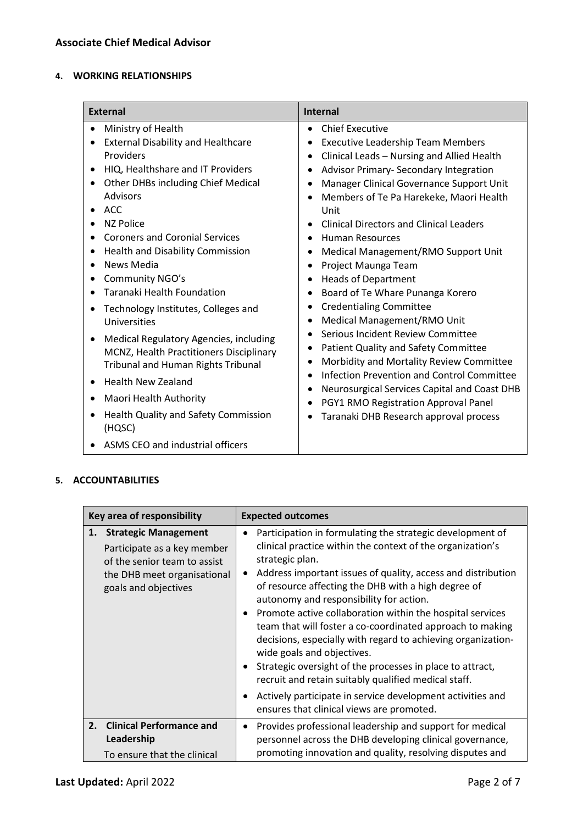# **4. WORKING RELATIONSHIPS**

| <b>External</b>                                                                                                                                                                                                                                                                                                                                                                                                                                                                                                                                                                                                                                                                                 | <b>Internal</b>                                                                                                                                                                                                                                                                                                                                                                                                                                                                                                                                                                                                                                                                                                                                                                                                                                                                                                 |
|-------------------------------------------------------------------------------------------------------------------------------------------------------------------------------------------------------------------------------------------------------------------------------------------------------------------------------------------------------------------------------------------------------------------------------------------------------------------------------------------------------------------------------------------------------------------------------------------------------------------------------------------------------------------------------------------------|-----------------------------------------------------------------------------------------------------------------------------------------------------------------------------------------------------------------------------------------------------------------------------------------------------------------------------------------------------------------------------------------------------------------------------------------------------------------------------------------------------------------------------------------------------------------------------------------------------------------------------------------------------------------------------------------------------------------------------------------------------------------------------------------------------------------------------------------------------------------------------------------------------------------|
| Ministry of Health<br><b>External Disability and Healthcare</b><br>Providers<br>HIQ, Healthshare and IT Providers<br>Other DHBs including Chief Medical<br><b>Advisors</b><br>ACC.<br><b>NZ Police</b><br><b>Coroners and Coronial Services</b><br>Health and Disability Commission<br><b>News Media</b><br>Community NGO's<br>Taranaki Health Foundation<br>Technology Institutes, Colleges and<br>Universities<br>Medical Regulatory Agencies, including<br>MCNZ, Health Practitioners Disciplinary<br><b>Tribunal and Human Rights Tribunal</b><br><b>Health New Zealand</b><br>Maori Health Authority<br>Health Quality and Safety Commission<br>(HQSC)<br>ASMS CEO and industrial officers | <b>Chief Executive</b><br><b>Executive Leadership Team Members</b><br>٠<br>Clinical Leads - Nursing and Allied Health<br>Advisor Primary- Secondary Integration<br>Manager Clinical Governance Support Unit<br>Members of Te Pa Harekeke, Maori Health<br>Unit<br><b>Clinical Directors and Clinical Leaders</b><br><b>Human Resources</b><br>Medical Management/RMO Support Unit<br>Project Maunga Team<br><b>Heads of Department</b><br>$\bullet$<br>Board of Te Whare Punanga Korero<br>٠<br><b>Credentialing Committee</b><br>٠<br>Medical Management/RMO Unit<br>٠<br>Serious Incident Review Committee<br>Patient Quality and Safety Committee<br>Morbidity and Mortality Review Committee<br>Infection Prevention and Control Committee<br>$\bullet$<br>Neurosurgical Services Capital and Coast DHB<br>$\bullet$<br>PGY1 RMO Registration Approval Panel<br>٠<br>Taranaki DHB Research approval process |

# **5. ACCOUNTABILITIES**

| Key area of responsibility |                                                                                                                                                   | <b>Expected outcomes</b>                                                                                                                                                                                                                                                                                                                                                                                                                                                                                                                                                                                                                                                                                                                                                          |
|----------------------------|---------------------------------------------------------------------------------------------------------------------------------------------------|-----------------------------------------------------------------------------------------------------------------------------------------------------------------------------------------------------------------------------------------------------------------------------------------------------------------------------------------------------------------------------------------------------------------------------------------------------------------------------------------------------------------------------------------------------------------------------------------------------------------------------------------------------------------------------------------------------------------------------------------------------------------------------------|
| 1.                         | <b>Strategic Management</b><br>Participate as a key member<br>of the senior team to assist<br>the DHB meet organisational<br>goals and objectives | Participation in formulating the strategic development of<br>clinical practice within the context of the organization's<br>strategic plan.<br>Address important issues of quality, access and distribution<br>$\bullet$<br>of resource affecting the DHB with a high degree of<br>autonomy and responsibility for action.<br>Promote active collaboration within the hospital services<br>team that will foster a co-coordinated approach to making<br>decisions, especially with regard to achieving organization-<br>wide goals and objectives.<br>Strategic oversight of the processes in place to attract,<br>recruit and retain suitably qualified medical staff.<br>Actively participate in service development activities and<br>ensures that clinical views are promoted. |
|                            | 2. Clinical Performance and<br>Leadership<br>To ensure that the clinical                                                                          | Provides professional leadership and support for medical<br>٠<br>personnel across the DHB developing clinical governance,<br>promoting innovation and quality, resolving disputes and                                                                                                                                                                                                                                                                                                                                                                                                                                                                                                                                                                                             |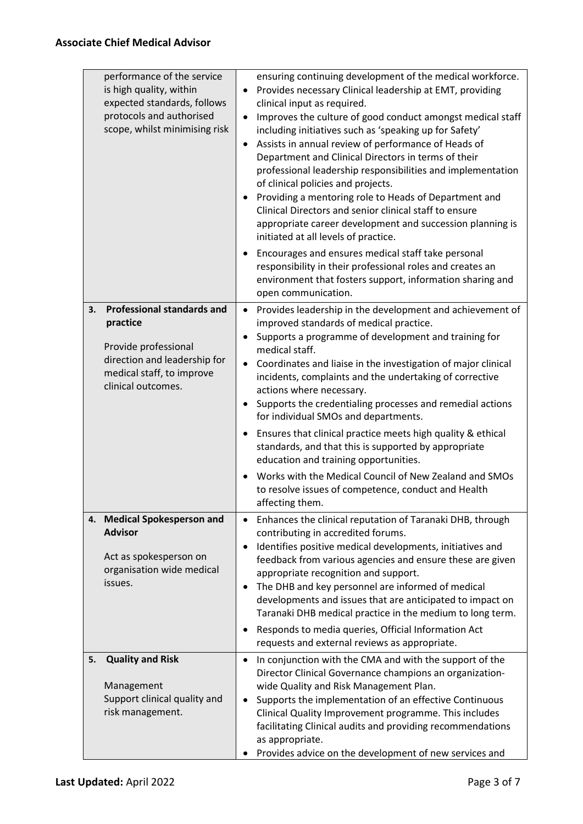| performance of the service<br>is high quality, within<br>expected standards, follows<br>protocols and authorised<br>scope, whilst minimising risk              | ensuring continuing development of the medical workforce.<br>Provides necessary Clinical leadership at EMT, providing<br>$\bullet$<br>clinical input as required.<br>Improves the culture of good conduct amongst medical staff<br>$\bullet$<br>including initiatives such as 'speaking up for Safety'<br>Assists in annual review of performance of Heads of<br>$\bullet$<br>Department and Clinical Directors in terms of their<br>professional leadership responsibilities and implementation<br>of clinical policies and projects.<br>Providing a mentoring role to Heads of Department and<br>٠<br>Clinical Directors and senior clinical staff to ensure<br>appropriate career development and succession planning is<br>initiated at all levels of practice.<br>Encourages and ensures medical staff take personal<br>٠<br>responsibility in their professional roles and creates an<br>environment that fosters support, information sharing and<br>open communication. |
|----------------------------------------------------------------------------------------------------------------------------------------------------------------|---------------------------------------------------------------------------------------------------------------------------------------------------------------------------------------------------------------------------------------------------------------------------------------------------------------------------------------------------------------------------------------------------------------------------------------------------------------------------------------------------------------------------------------------------------------------------------------------------------------------------------------------------------------------------------------------------------------------------------------------------------------------------------------------------------------------------------------------------------------------------------------------------------------------------------------------------------------------------------|
| <b>Professional standards and</b><br>3.<br>practice<br>Provide professional<br>direction and leadership for<br>medical staff, to improve<br>clinical outcomes. | Provides leadership in the development and achievement of<br>$\bullet$<br>improved standards of medical practice.<br>Supports a programme of development and training for<br>$\bullet$<br>medical staff.<br>Coordinates and liaise in the investigation of major clinical<br>٠<br>incidents, complaints and the undertaking of corrective<br>actions where necessary.<br>Supports the credentialing processes and remedial actions<br>٠<br>for individual SMOs and departments.<br>Ensures that clinical practice meets high quality & ethical<br>٠<br>standards, and that this is supported by appropriate<br>education and training opportunities.<br>Works with the Medical Council of New Zealand and SMOs<br>$\bullet$<br>to resolve issues of competence, conduct and Health<br>affecting them.                                                                                                                                                                           |
| 4. Medical Spokesperson and<br><b>Advisor</b><br>Act as spokesperson on<br>organisation wide medical<br>issues.                                                | Enhances the clinical reputation of Taranaki DHB, through<br>$\bullet$<br>contributing in accredited forums.<br>Identifies positive medical developments, initiatives and<br>$\bullet$<br>feedback from various agencies and ensure these are given<br>appropriate recognition and support.<br>The DHB and key personnel are informed of medical<br>٠<br>developments and issues that are anticipated to impact on<br>Taranaki DHB medical practice in the medium to long term.<br>Responds to media queries, Official Information Act<br>٠<br>requests and external reviews as appropriate.                                                                                                                                                                                                                                                                                                                                                                                    |
| <b>Quality and Risk</b><br>5.<br>Management<br>Support clinical quality and<br>risk management.                                                                | In conjunction with the CMA and with the support of the<br>٠<br>Director Clinical Governance champions an organization-<br>wide Quality and Risk Management Plan.<br>Supports the implementation of an effective Continuous<br>$\bullet$<br>Clinical Quality Improvement programme. This includes<br>facilitating Clinical audits and providing recommendations<br>as appropriate.<br>Provides advice on the development of new services and                                                                                                                                                                                                                                                                                                                                                                                                                                                                                                                                    |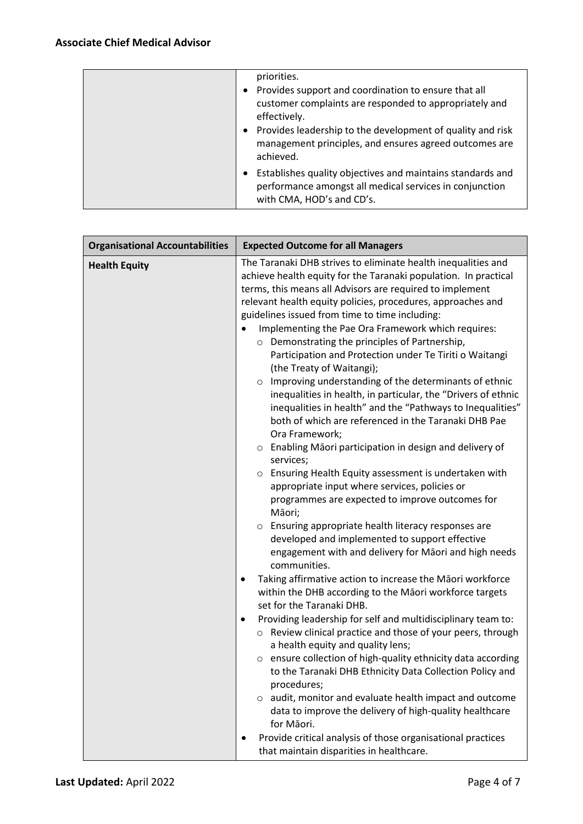| priorities.<br>• Provides support and coordination to ensure that all<br>customer complaints are responded to appropriately and<br>effectively.<br>Provides leadership to the development of quality and risk<br>management principles, and ensures agreed outcomes are<br>achieved. |
|--------------------------------------------------------------------------------------------------------------------------------------------------------------------------------------------------------------------------------------------------------------------------------------|
| Establishes quality objectives and maintains standards and<br>performance amongst all medical services in conjunction<br>with CMA, HOD's and CD's.                                                                                                                                   |

| <b>Organisational Accountabilities</b> | <b>Expected Outcome for all Managers</b>                                                                                                                                                                                                                                                                                                                                                                                                                                                                                                                                                                                                                                                                                                                                                                                                                                                                                                                                                                                                                                                                                                                                                                                                                                                                                                                                                                                                                                                                                                                                                                                                                                                                                                                                                                                             |
|----------------------------------------|--------------------------------------------------------------------------------------------------------------------------------------------------------------------------------------------------------------------------------------------------------------------------------------------------------------------------------------------------------------------------------------------------------------------------------------------------------------------------------------------------------------------------------------------------------------------------------------------------------------------------------------------------------------------------------------------------------------------------------------------------------------------------------------------------------------------------------------------------------------------------------------------------------------------------------------------------------------------------------------------------------------------------------------------------------------------------------------------------------------------------------------------------------------------------------------------------------------------------------------------------------------------------------------------------------------------------------------------------------------------------------------------------------------------------------------------------------------------------------------------------------------------------------------------------------------------------------------------------------------------------------------------------------------------------------------------------------------------------------------------------------------------------------------------------------------------------------------|
| <b>Health Equity</b>                   | The Taranaki DHB strives to eliminate health inequalities and<br>achieve health equity for the Taranaki population. In practical<br>terms, this means all Advisors are required to implement<br>relevant health equity policies, procedures, approaches and<br>guidelines issued from time to time including:<br>Implementing the Pae Ora Framework which requires:<br>O Demonstrating the principles of Partnership,<br>Participation and Protection under Te Tiriti o Waitangi<br>(the Treaty of Waitangi);<br>o Improving understanding of the determinants of ethnic<br>inequalities in health, in particular, the "Drivers of ethnic<br>inequalities in health" and the "Pathways to Inequalities"<br>both of which are referenced in the Taranaki DHB Pae<br>Ora Framework;<br>o Enabling Māori participation in design and delivery of<br>services;<br>o Ensuring Health Equity assessment is undertaken with<br>appropriate input where services, policies or<br>programmes are expected to improve outcomes for<br>Māori;<br>Ensuring appropriate health literacy responses are<br>$\circ$<br>developed and implemented to support effective<br>engagement with and delivery for Māori and high needs<br>communities.<br>Taking affirmative action to increase the Māori workforce<br>within the DHB according to the Māori workforce targets<br>set for the Taranaki DHB.<br>Providing leadership for self and multidisciplinary team to:<br>٠<br>○ Review clinical practice and those of your peers, through<br>a health equity and quality lens;<br>ensure collection of high-quality ethnicity data according<br>to the Taranaki DHB Ethnicity Data Collection Policy and<br>procedures;<br>audit, monitor and evaluate health impact and outcome<br>$\circ$<br>data to improve the delivery of high-quality healthcare |
|                                        | for Māori.<br>Provide critical analysis of those organisational practices                                                                                                                                                                                                                                                                                                                                                                                                                                                                                                                                                                                                                                                                                                                                                                                                                                                                                                                                                                                                                                                                                                                                                                                                                                                                                                                                                                                                                                                                                                                                                                                                                                                                                                                                                            |
|                                        | that maintain disparities in healthcare.                                                                                                                                                                                                                                                                                                                                                                                                                                                                                                                                                                                                                                                                                                                                                                                                                                                                                                                                                                                                                                                                                                                                                                                                                                                                                                                                                                                                                                                                                                                                                                                                                                                                                                                                                                                             |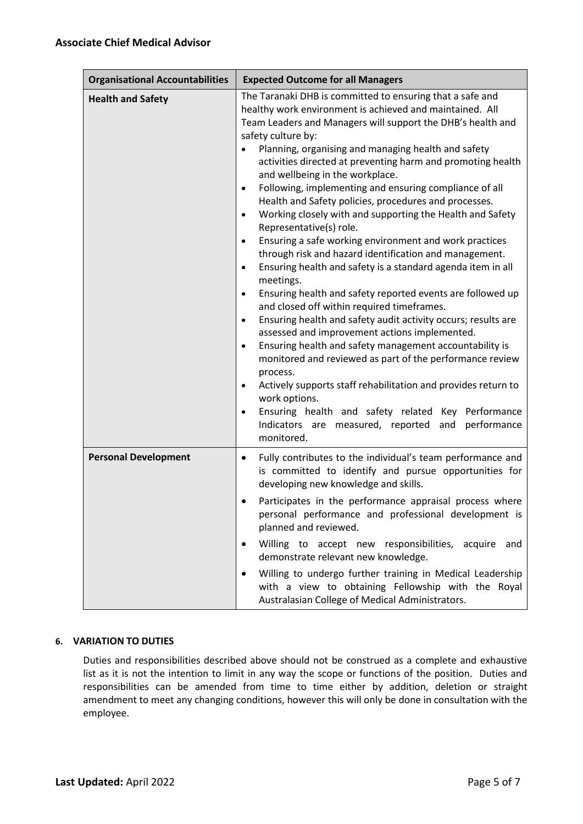| <b>Organisational Accountabilities</b> | <b>Expected Outcome for all Managers</b>                                                                                                                                                                                                                                                                                                                                                                                                                                                                                                                                                                                                                                                                                                                                                                                                                                                                                                                                                                                                                                                                                                                                                                                                                                                                                                                                                                                    |
|----------------------------------------|-----------------------------------------------------------------------------------------------------------------------------------------------------------------------------------------------------------------------------------------------------------------------------------------------------------------------------------------------------------------------------------------------------------------------------------------------------------------------------------------------------------------------------------------------------------------------------------------------------------------------------------------------------------------------------------------------------------------------------------------------------------------------------------------------------------------------------------------------------------------------------------------------------------------------------------------------------------------------------------------------------------------------------------------------------------------------------------------------------------------------------------------------------------------------------------------------------------------------------------------------------------------------------------------------------------------------------------------------------------------------------------------------------------------------------|
| <b>Health and Safety</b>               | The Taranaki DHB is committed to ensuring that a safe and<br>healthy work environment is achieved and maintained. All<br>Team Leaders and Managers will support the DHB's health and<br>safety culture by:<br>Planning, organising and managing health and safety<br>activities directed at preventing harm and promoting health<br>and wellbeing in the workplace.<br>Following, implementing and ensuring compliance of all<br>Health and Safety policies, procedures and processes.<br>Working closely with and supporting the Health and Safety<br>$\bullet$<br>Representative(s) role.<br>Ensuring a safe working environment and work practices<br>through risk and hazard identification and management.<br>Ensuring health and safety is a standard agenda item in all<br>$\bullet$<br>meetings.<br>Ensuring health and safety reported events are followed up<br>and closed off within required timeframes.<br>Ensuring health and safety audit activity occurs; results are<br>$\bullet$<br>assessed and improvement actions implemented.<br>Ensuring health and safety management accountability is<br>monitored and reviewed as part of the performance review<br>process.<br>Actively supports staff rehabilitation and provides return to<br>$\bullet$<br>work options.<br>Ensuring health and safety related Key Performance<br>$\bullet$<br>Indicators are measured, reported and performance<br>monitored. |
| <b>Personal Development</b>            | Fully contributes to the individual's team performance and<br>٠<br>is committed to identify and pursue opportunities for<br>developing new knowledge and skills.<br>Participates in the performance appraisal process where<br>personal performance and professional development is<br>planned and reviewed.<br>Willing to accept new responsibilities, acquire and<br>demonstrate relevant new knowledge.<br>Willing to undergo further training in Medical Leadership<br>with a view to obtaining Fellowship with the Royal<br>Australasian College of Medical Administrators.                                                                                                                                                                                                                                                                                                                                                                                                                                                                                                                                                                                                                                                                                                                                                                                                                                            |

# **6. VARIATION TO DUTIES**

Duties and responsibilities described above should not be construed as a complete and exhaustive list as it is not the intention to limit in any way the scope or functions of the position. Duties and responsibilities can be amended from time to time either by addition, deletion or straight amendment to meet any changing conditions, however this will only be done in consultation with the employee.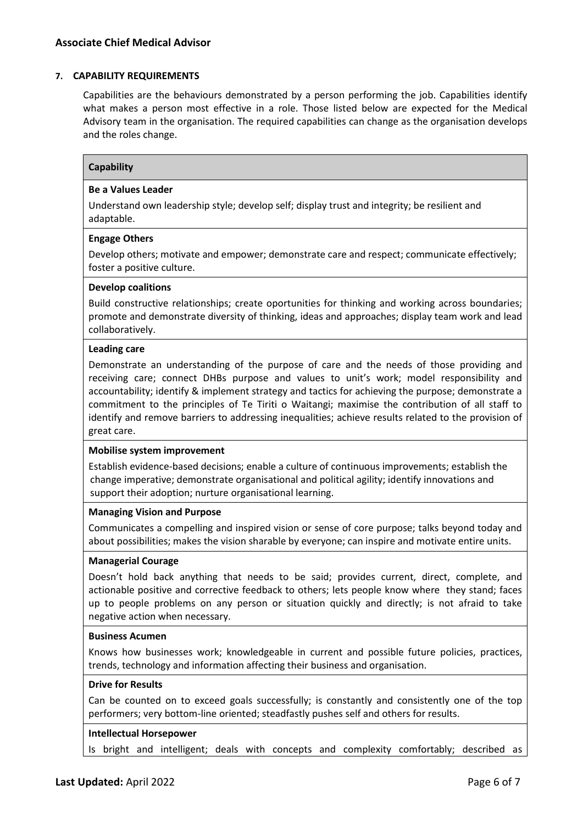# **7. CAPABILITY REQUIREMENTS**

Capabilities are the behaviours demonstrated by a person performing the job. Capabilities identify what makes a person most effective in a role. Those listed below are expected for the Medical Advisory team in the organisation. The required capabilities can change as the organisation develops and the roles change.

# **Capability**

#### **Be a Values Leader**

Understand own leadership style; develop self; display trust and integrity; be resilient and adaptable.

#### **Engage Others**

Develop others; motivate and empower; demonstrate care and respect; communicate effectively; foster a positive culture.

#### **Develop coalitions**

Build constructive relationships; create oportunities for thinking and working across boundaries; promote and demonstrate diversity of thinking, ideas and approaches; display team work and lead collaboratively.

#### **Leading care**

Demonstrate an understanding of the purpose of care and the needs of those providing and receiving care; connect DHBs purpose and values to unit's work; model responsibility and accountability; identify & implement strategy and tactics for achieving the purpose; demonstrate a commitment to the principles of Te Tiriti o Waitangi; maximise the contribution of all staff to identify and remove barriers to addressing inequalities; achieve results related to the provision of great care.

#### **Mobilise system improvement**

Establish evidence-based decisions; enable a culture of continuous improvements; establish the change imperative; demonstrate organisational and political agility; identify innovations and support their adoption; nurture organisational learning.

#### **Managing Vision and Purpose**

Communicates a compelling and inspired vision or sense of core purpose; talks beyond today and about possibilities; makes the vision sharable by everyone; can inspire and motivate entire units.

# **Managerial Courage**

Doesn't hold back anything that needs to be said; provides current, direct, complete, and actionable positive and corrective feedback to others; lets people know where they stand; faces up to people problems on any person or situation quickly and directly; is not afraid to take negative action when necessary.

#### **Business Acumen**

Knows how businesses work; knowledgeable in current and possible future policies, practices, trends, technology and information affecting their business and organisation.

#### **Drive for Results**

Can be counted on to exceed goals successfully; is constantly and consistently one of the top performers; very bottom-line oriented; steadfastly pushes self and others for results.

#### **Intellectual Horsepower**

Is bright and intelligent; deals with concepts and complexity comfortably; described as